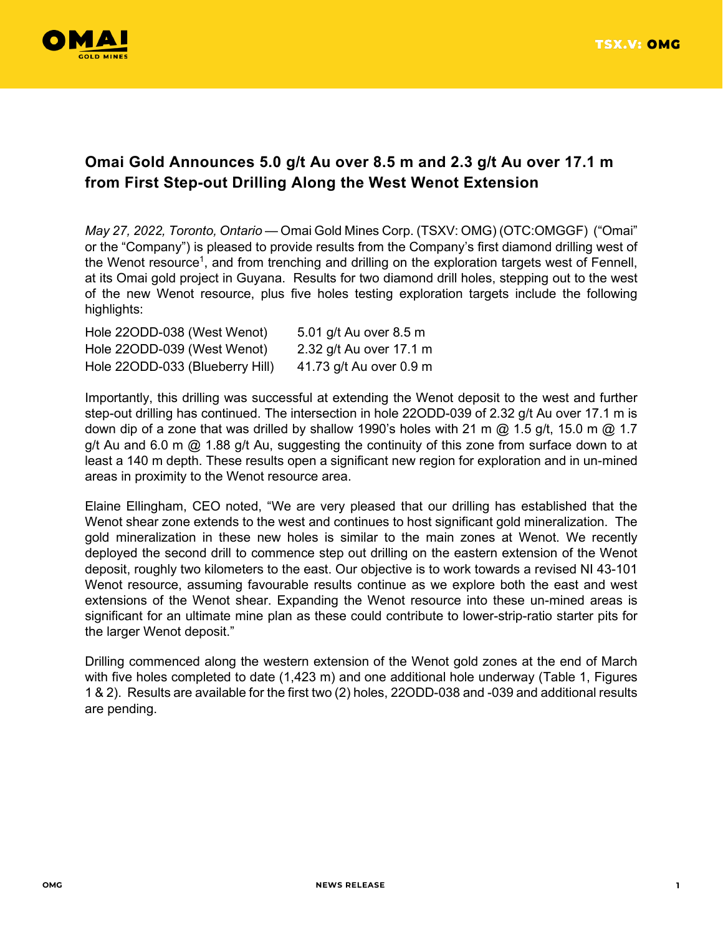

# **Omai Gold Announces 5.0 g/t Au over 8.5 m and 2.3 g/t Au over 17.1 m from First Step-out Drilling Along the West Wenot Extension**

*May 27, 2022, Toronto, Ontario* — Omai Gold Mines Corp. (TSXV: OMG) (OTC:OMGGF) ("Omai" or the "Company") is pleased to provide results from the Company's first diamond drilling west of the Wenot resource<sup>1</sup>, and from trenching and drilling on the exploration targets west of Fennell, at its Omai gold project in Guyana. Results for two diamond drill holes, stepping out to the west of the new Wenot resource, plus five holes testing exploration targets include the following highlights:

| Hole 22ODD-038 (West Wenot)     | 5.01 g/t Au over 8.5 m  |
|---------------------------------|-------------------------|
| Hole 220DD-039 (West Wenot)     | 2.32 g/t Au over 17.1 m |
| Hole 22ODD-033 (Blueberry Hill) | 41.73 g/t Au over 0.9 m |

Importantly, this drilling was successful at extending the Wenot deposit to the west and further step-out drilling has continued. The intersection in hole 22ODD-039 of 2.32 g/t Au over 17.1 m is down dip of a zone that was drilled by shallow 1990's holes with 21 m @ 1.5 g/t, 15.0 m @ 1.7 g/t Au and 6.0 m  $@$  1.88 g/t Au, suggesting the continuity of this zone from surface down to at least a 140 m depth. These results open a significant new region for exploration and in un-mined areas in proximity to the Wenot resource area.

Elaine Ellingham, CEO noted, "We are very pleased that our drilling has established that the Wenot shear zone extends to the west and continues to host significant gold mineralization. The gold mineralization in these new holes is similar to the main zones at Wenot. We recently deployed the second drill to commence step out drilling on the eastern extension of the Wenot deposit, roughly two kilometers to the east. Our objective is to work towards a revised NI 43-101 Wenot resource, assuming favourable results continue as we explore both the east and west extensions of the Wenot shear. Expanding the Wenot resource into these un-mined areas is significant for an ultimate mine plan as these could contribute to lower-strip-ratio starter pits for the larger Wenot deposit."

Drilling commenced along the western extension of the Wenot gold zones at the end of March with five holes completed to date (1,423 m) and one additional hole underway (Table 1, Figures 1 & 2). Results are available for the first two (2) holes, 22ODD-038 and -039 and additional results are pending.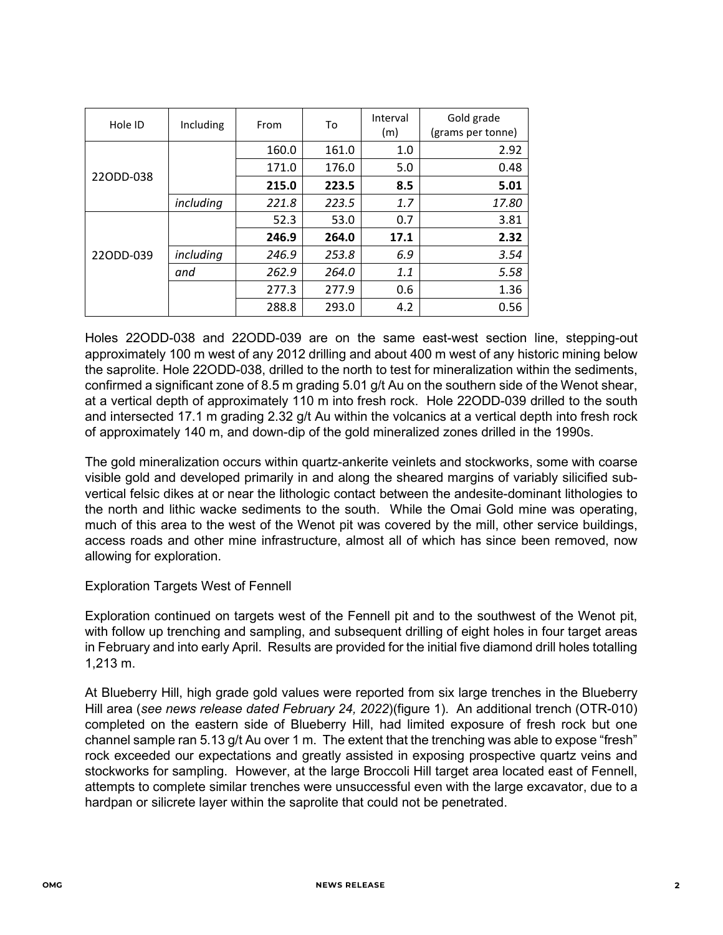| Hole ID   | Including | To<br>From |       | Interval<br>(m) | Gold grade<br>(grams per tonne) |
|-----------|-----------|------------|-------|-----------------|---------------------------------|
|           |           | 160.0      | 161.0 | 1.0             | 2.92                            |
| 220DD-038 |           | 171.0      | 176.0 | 5.0             | 0.48                            |
|           |           | 215.0      | 223.5 | 8.5             | 5.01                            |
|           | including | 221.8      | 223.5 | 1.7             | 17.80                           |
| 220DD-039 |           | 52.3       | 53.0  | 0.7             | 3.81                            |
|           |           | 246.9      | 264.0 | 17.1            | 2.32                            |
|           | including | 246.9      | 253.8 | 6.9             | 3.54                            |
|           | and       | 262.9      | 264.0 | 1.1             | 5.58                            |
|           |           | 277.3      | 277.9 | 0.6             | 1.36                            |
|           |           | 288.8      | 293.0 | 4.2             | 0.56                            |

Holes 22ODD-038 and 22ODD-039 are on the same east-west section line, stepping-out approximately 100 m west of any 2012 drilling and about 400 m west of any historic mining below the saprolite. Hole 22ODD-038, drilled to the north to test for mineralization within the sediments, confirmed a significant zone of 8.5 m grading 5.01 g/t Au on the southern side of the Wenot shear, at a vertical depth of approximately 110 m into fresh rock. Hole 22ODD-039 drilled to the south and intersected 17.1 m grading 2.32 g/t Au within the volcanics at a vertical depth into fresh rock of approximately 140 m, and down-dip of the gold mineralized zones drilled in the 1990s.

The gold mineralization occurs within quartz-ankerite veinlets and stockworks, some with coarse visible gold and developed primarily in and along the sheared margins of variably silicified subvertical felsic dikes at or near the lithologic contact between the andesite-dominant lithologies to the north and lithic wacke sediments to the south. While the Omai Gold mine was operating, much of this area to the west of the Wenot pit was covered by the mill, other service buildings, access roads and other mine infrastructure, almost all of which has since been removed, now allowing for exploration.

## Exploration Targets West of Fennell

Exploration continued on targets west of the Fennell pit and to the southwest of the Wenot pit, with follow up trenching and sampling, and subsequent drilling of eight holes in four target areas in February and into early April. Results are provided for the initial five diamond drill holes totalling 1,213 m.

At Blueberry Hill, high grade gold values were reported from six large trenches in the Blueberry Hill area (*see news release dated February 24, 2022*)(figure 1). An additional trench (OTR-010) completed on the eastern side of Blueberry Hill, had limited exposure of fresh rock but one channel sample ran 5.13 g/t Au over 1 m. The extent that the trenching was able to expose "fresh" rock exceeded our expectations and greatly assisted in exposing prospective quartz veins and stockworks for sampling. However, at the large Broccoli Hill target area located east of Fennell, attempts to complete similar trenches were unsuccessful even with the large excavator, due to a hardpan or silicrete layer within the saprolite that could not be penetrated.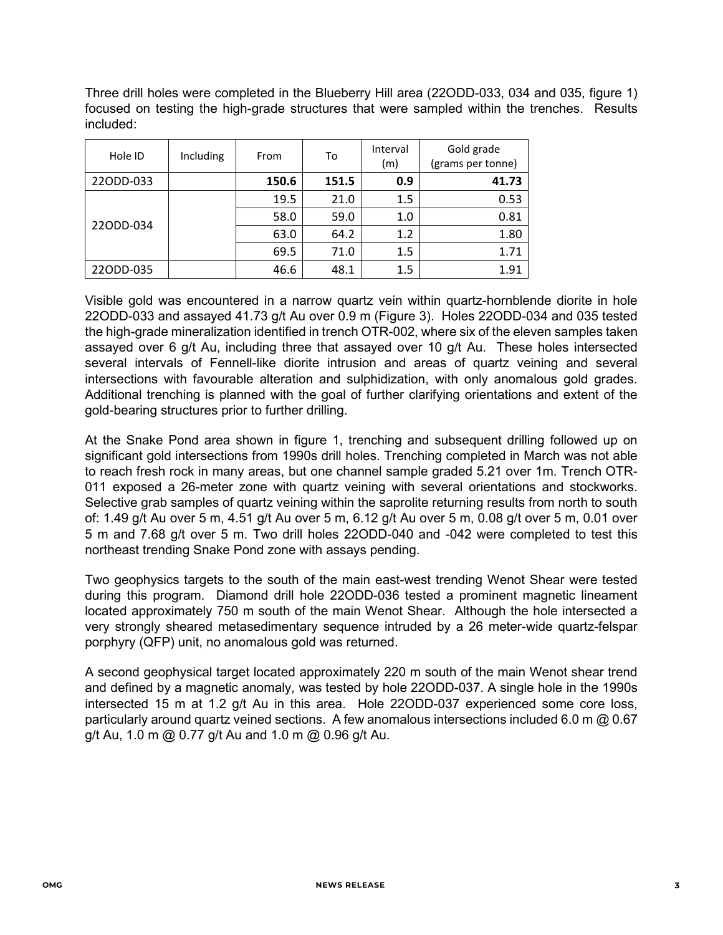Three drill holes were completed in the Blueberry Hill area (22ODD-033, 034 and 035, figure 1) focused on testing the high-grade structures that were sampled within the trenches. Results included:

| Hole ID   | Including | To<br>From<br>(m) |       | Interval | Gold grade<br>(grams per tonne) |  |
|-----------|-----------|-------------------|-------|----------|---------------------------------|--|
| 22ODD-033 |           | 150.6             | 151.5 | 0.9      | 41.73                           |  |
| 220DD-034 |           | 19.5              | 21.0  | 1.5      | 0.53                            |  |
|           |           | 58.0              | 59.0  | 1.0      | 0.81                            |  |
|           |           | 63.0              | 64.2  | 1.2      | 1.80                            |  |
|           |           | 69.5              | 71.0  | 1.5      | 1.71                            |  |
| 22ODD-035 |           | 46.6              | 48.1  | 1.5      | 1.91                            |  |

Visible gold was encountered in a narrow quartz vein within quartz-hornblende diorite in hole 22ODD-033 and assayed 41.73 g/t Au over 0.9 m (Figure 3). Holes 22ODD-034 and 035 tested the high-grade mineralization identified in trench OTR-002, where six of the eleven samples taken assayed over 6 g/t Au, including three that assayed over 10 g/t Au. These holes intersected several intervals of Fennell-like diorite intrusion and areas of quartz veining and several intersections with favourable alteration and sulphidization, with only anomalous gold grades. Additional trenching is planned with the goal of further clarifying orientations and extent of the gold-bearing structures prior to further drilling.

At the Snake Pond area shown in figure 1, trenching and subsequent drilling followed up on significant gold intersections from 1990s drill holes. Trenching completed in March was not able to reach fresh rock in many areas, but one channel sample graded 5.21 over 1m. Trench OTR-011 exposed a 26-meter zone with quartz veining with several orientations and stockworks. Selective grab samples of quartz veining within the saprolite returning results from north to south of: 1.49 g/t Au over 5 m, 4.51 g/t Au over 5 m, 6.12 g/t Au over 5 m, 0.08 g/t over 5 m, 0.01 over 5 m and 7.68 g/t over 5 m. Two drill holes 22ODD-040 and -042 were completed to test this northeast trending Snake Pond zone with assays pending.

Two geophysics targets to the south of the main east-west trending Wenot Shear were tested during this program. Diamond drill hole 22ODD-036 tested a prominent magnetic lineament located approximately 750 m south of the main Wenot Shear. Although the hole intersected a very strongly sheared metasedimentary sequence intruded by a 26 meter-wide quartz-felspar porphyry (QFP) unit, no anomalous gold was returned.

A second geophysical target located approximately 220 m south of the main Wenot shear trend and defined by a magnetic anomaly, was tested by hole 22ODD-037. A single hole in the 1990s intersected 15 m at 1.2 g/t Au in this area. Hole 22ODD-037 experienced some core loss, particularly around quartz veined sections. A few anomalous intersections included 6.0 m @ 0.67 g/t Au, 1.0 m @ 0.77 g/t Au and 1.0 m @ 0.96 g/t Au.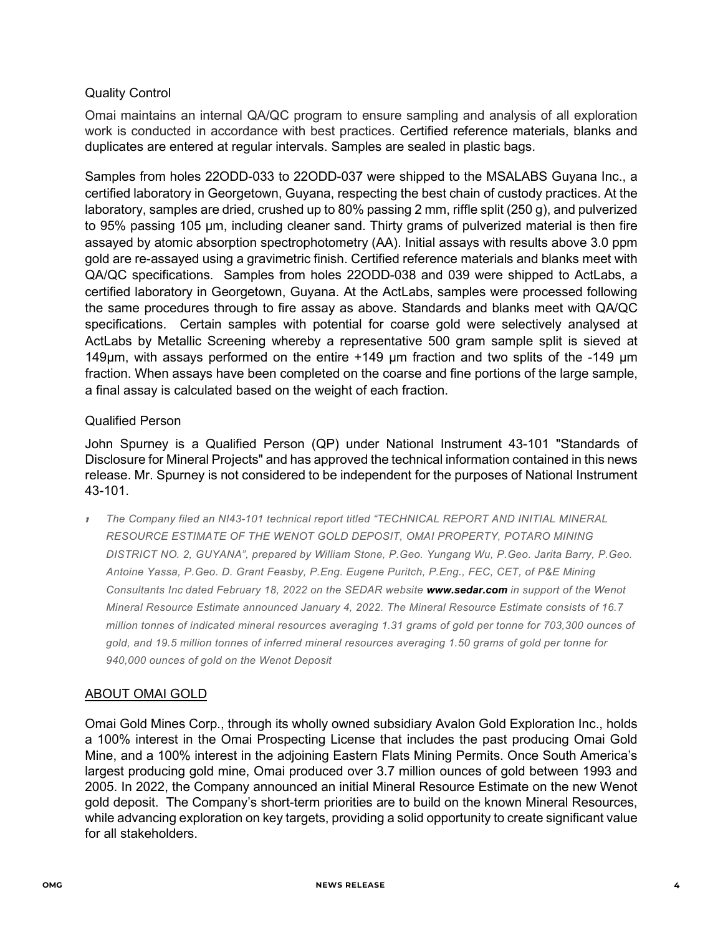### Quality Control

Omai maintains an internal QA/QC program to ensure sampling and analysis of all exploration work is conducted in accordance with best practices. Certified reference materials, blanks and duplicates are entered at regular intervals. Samples are sealed in plastic bags.

Samples from holes 22ODD-033 to 22ODD-037 were shipped to the MSALABS Guyana Inc., a certified laboratory in Georgetown, Guyana, respecting the best chain of custody practices. At the laboratory, samples are dried, crushed up to 80% passing 2 mm, riffle split (250 g), and pulverized to 95% passing 105 μm, including cleaner sand. Thirty grams of pulverized material is then fire assayed by atomic absorption spectrophotometry (AA). Initial assays with results above 3.0 ppm gold are re-assayed using a gravimetric finish. Certified reference materials and blanks meet with QA/QC specifications. Samples from holes 22ODD-038 and 039 were shipped to ActLabs, a certified laboratory in Georgetown, Guyana. At the ActLabs, samples were processed following the same procedures through to fire assay as above. Standards and blanks meet with QA/QC specifications. Certain samples with potential for coarse gold were selectively analysed at ActLabs by Metallic Screening whereby a representative 500 gram sample split is sieved at 149μm, with assays performed on the entire +149 μm fraction and two splits of the -149 μm fraction. When assays have been completed on the coarse and fine portions of the large sample, a final assay is calculated based on the weight of each fraction.

### Qualified Person

John Spurney is a Qualified Person (QP) under National Instrument 43-101 "Standards of Disclosure for Mineral Projects" and has approved the technical information contained in this news release. Mr. Spurney is not considered to be independent for the purposes of National Instrument 43-101.

<sup>1</sup> *The Company filed an NI43-101 technical report titled "TECHNICAL REPORT AND INITIAL MINERAL RESOURCE ESTIMATE OF THE WENOT GOLD DEPOSIT, OMAI PROPERTY, POTARO MINING DISTRICT NO. 2, GUYANA", prepared by William Stone, P.Geo. Yungang Wu, P.Geo. Jarita Barry, P.Geo. Antoine Yassa, P.Geo. D. Grant Feasby, P.Eng. Eugene Puritch, P.Eng., FEC, CET, of P&E Mining Consultants Inc dated February 18, 2022 on the SEDAR website [www.sedar.com](http://www.sedar.com/) in support of the Wenot Mineral Resource Estimate announced January 4, 2022. The Mineral Resource Estimate consists of 16.7 million tonnes of indicated mineral resources averaging 1.31 grams of gold per tonne for 703,300 ounces of gold, and 19.5 million tonnes of inferred mineral resources averaging 1.50 grams of gold per tonne for 940,000 ounces of gold on the Wenot Deposit* 

#### ABOUT OMAI GOLD

Omai Gold Mines Corp., through its wholly owned subsidiary Avalon Gold Exploration Inc., holds a 100% interest in the Omai Prospecting License that includes the past producing Omai Gold Mine, and a 100% interest in the adjoining Eastern Flats Mining Permits. Once South America's largest producing gold mine, Omai produced over 3.7 million ounces of gold between 1993 and 2005. In 2022, the Company announced an initial Mineral Resource Estimate on the new Wenot gold deposit. The Company's short-term priorities are to build on the known Mineral Resources, while advancing exploration on key targets, providing a solid opportunity to create significant value for all stakeholders.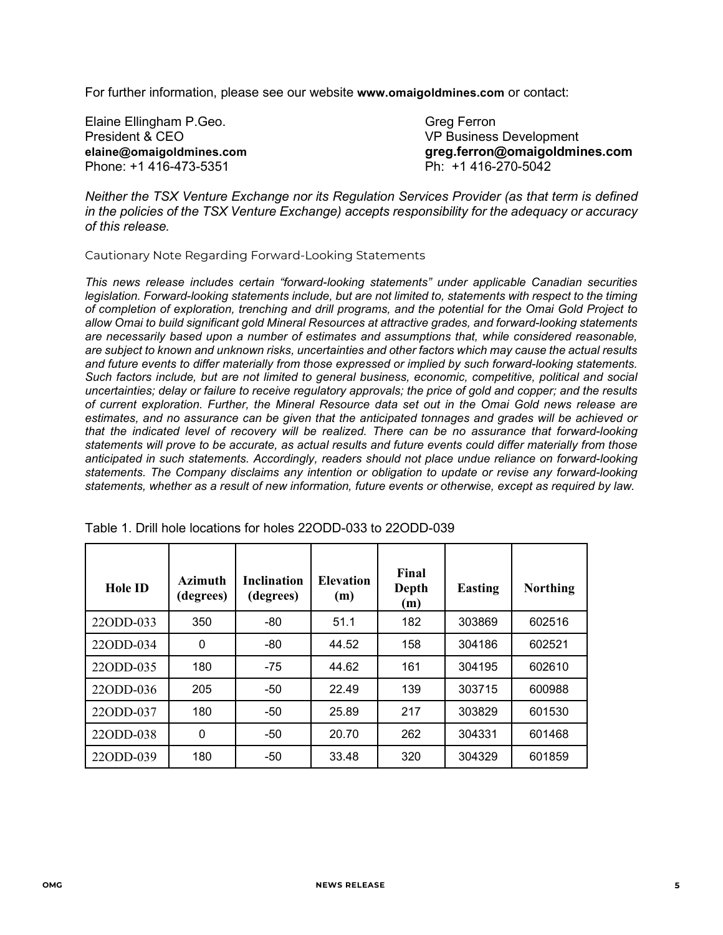For further information, please see our website **[www.omaigoldmines.com](http://www.omaigoldmines.com/)** or contact:

| Elaine Ellingham P.Geo.  | <b>Greg Ferron</b>             |
|--------------------------|--------------------------------|
| President & CEO          | <b>VP Business Development</b> |
| elaine@omaigoldmines.com | greg.ferron@omaigoldmines.com  |
| Phone: +1 416-473-5351   | Ph: +1 416-270-5042            |

*Neither the TSX Venture Exchange nor its Regulation Services Provider (as that term is defined in the policies of the TSX Venture Exchange) accepts responsibility for the adequacy or accuracy of this release.*

Cautionary Note Regarding Forward-Looking Statements

*This news release includes certain "forward-looking statements" under applicable Canadian securities legislation. Forward-looking statements include, but are not limited to, statements with respect to the timing of completion of exploration, trenching and drill programs, and the potential for the Omai Gold Project to allow Omai to build significant gold Mineral Resources at attractive grades, and forward-looking statements are necessarily based upon a number of estimates and assumptions that, while considered reasonable, are subject to known and unknown risks, uncertainties and other factors which may cause the actual results and future events to differ materially from those expressed or implied by such forward-looking statements. Such factors include, but are not limited to general business, economic, competitive, political and social uncertainties; delay or failure to receive regulatory approvals; the price of gold and copper; and the results of current exploration. Further, the Mineral Resource data set out in the Omai Gold news release are estimates, and no assurance can be given that the anticipated tonnages and grades will be achieved or that the indicated level of recovery will be realized. There can be no assurance that forward-looking statements will prove to be accurate, as actual results and future events could differ materially from those anticipated in such statements. Accordingly, readers should not place undue reliance on forward-looking statements. The Company disclaims any intention or obligation to update or revise any forward-looking statements, whether as a result of new information, future events or otherwise, except as required by law.*

| <b>Hole ID</b> | Azimuth<br>(degrees) | <b>Inclination</b><br>(degrees) | <b>Elevation</b><br>(m) | Final<br>Depth<br>(m) | <b>Easting</b> | <b>Northing</b> |
|----------------|----------------------|---------------------------------|-------------------------|-----------------------|----------------|-----------------|
| 22ODD-033      | 350                  | $-80$                           | 51.1                    | 182                   | 303869         | 602516          |
| 22ODD-034      | $\Omega$             | $-80$                           | 44.52                   | 158                   | 304186         | 602521          |
| 22ODD-035      | 180                  | $-75$                           | 44.62                   | 161                   | 304195         | 602610          |
| 22ODD-036      | 205                  | $-50$                           | 22.49                   | 139                   | 303715         | 600988          |
| 22ODD-037      | 180                  | -50                             | 25.89                   | 217                   | 303829         | 601530          |
| 22ODD-038      | 0                    | -50                             | 20.70                   | 262                   | 304331         | 601468          |
| 22ODD-039      | 180                  | -50                             | 33.48                   | 320                   | 304329         | 601859          |

Table 1. Drill hole locations for holes 22ODD-033 to 22ODD-039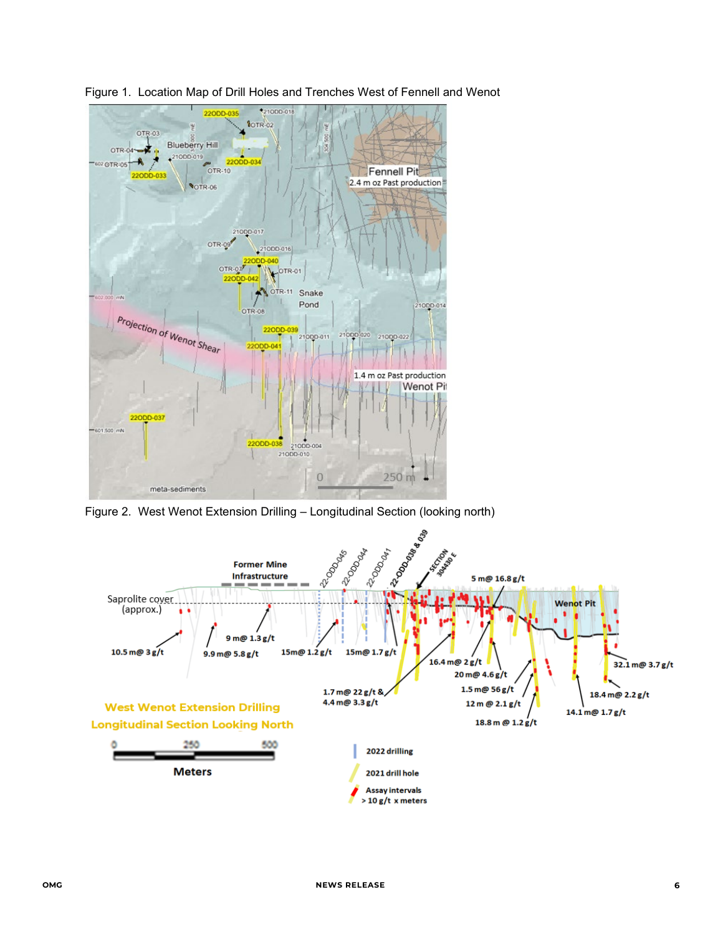

Figure 1. Location Map of Drill Holes and Trenches West of Fennell and Wenot